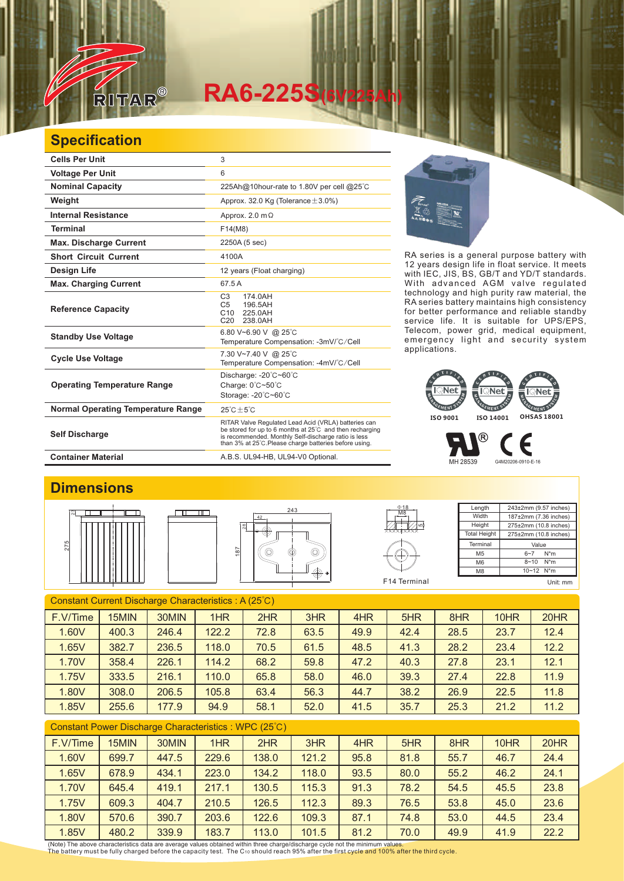

# **RA6-225S(6V225Ah)**

## **Specification**

| <b>Cells Per Unit</b>                     | 3                                                                                                                                                                                                                                  |  |  |  |
|-------------------------------------------|------------------------------------------------------------------------------------------------------------------------------------------------------------------------------------------------------------------------------------|--|--|--|
| <b>Voltage Per Unit</b>                   | 6                                                                                                                                                                                                                                  |  |  |  |
| <b>Nominal Capacity</b>                   | 225Ah@10hour-rate to 1.80V per cell @25°C                                                                                                                                                                                          |  |  |  |
| Weight                                    | Approx. 32.0 Kg (Tolerance $\pm$ 3.0%)                                                                                                                                                                                             |  |  |  |
| <b>Internal Resistance</b>                | Approx. 2.0 $m\Omega$                                                                                                                                                                                                              |  |  |  |
| <b>Terminal</b>                           | F14(M8)                                                                                                                                                                                                                            |  |  |  |
| <b>Max. Discharge Current</b>             | 2250A (5 sec)                                                                                                                                                                                                                      |  |  |  |
| <b>Short Circuit Current</b>              | 4100A                                                                                                                                                                                                                              |  |  |  |
| <b>Design Life</b>                        | 12 years (Float charging)                                                                                                                                                                                                          |  |  |  |
| <b>Max. Charging Current</b>              | 67.5 A                                                                                                                                                                                                                             |  |  |  |
| <b>Reference Capacity</b>                 | C <sub>3</sub><br>174.0AH<br>196.5AH<br>C <sub>5</sub><br>225.0AH<br>C <sub>10</sub><br>C <sub>20</sub><br>238.0AH                                                                                                                 |  |  |  |
| <b>Standby Use Voltage</b>                | 6.80 V~6.90 V @ 25°C<br>Temperature Compensation: -3mV/°C/Cell                                                                                                                                                                     |  |  |  |
| <b>Cycle Use Voltage</b>                  | 7.30 V~7.40 V @ 25°C<br>Temperature Compensation: -4mV/°C/Cell                                                                                                                                                                     |  |  |  |
| <b>Operating Temperature Range</b>        | Discharge: -20°C~60°C<br>Charge: 0°C~50°C<br>Storage: -20°C~60°C                                                                                                                                                                   |  |  |  |
| <b>Normal Operating Temperature Range</b> | $25^{\circ}$ C + 5 $^{\circ}$ C                                                                                                                                                                                                    |  |  |  |
| <b>Self Discharge</b>                     | RITAR Valve Regulated Lead Acid (VRLA) batteries can<br>be stored for up to 6 months at 25°C and then recharging<br>is recommended. Monthly Self-discharge ratio is less<br>than 3% at 25°C. Please charge batteries before using. |  |  |  |
| <b>Container Material</b>                 | A.B.S. UL94-HB, UL94-V0 Optional.                                                                                                                                                                                                  |  |  |  |



RA series is a general purpose battery with 12 years design life in float service. It meets with IEC, JIS, BS, GB/T and YD/T standards. With advanced AGM valve regulated technology and high purity raw material, the RA series battery maintains high consistency for better performance and reliable standby service life. It is suitable for UPS/EPS, Telecom, power grid, medical equipment, emergency light and security system applications.

#### **Net**  $\overline{\phantom{a}}$ Net EMENT **GEMENTS** GEMENT<sup>E</sup> **ISO 9001 ISO 14001 OHSAS 18001**

MH 28539 G4M20206-0910-E-16

®

### **Dimensions**







| $\Phi$ 18<br>M <sub>8</sub><br>မာ. | Length              | 243±2mm (9.57 inches) |  |  |  |
|------------------------------------|---------------------|-----------------------|--|--|--|
|                                    | Width               | 187±2mm (7.36 inches) |  |  |  |
|                                    | Height              | 275±2mm (10.8 inches) |  |  |  |
|                                    | <b>Total Height</b> | 275±2mm (10.8 inches) |  |  |  |
|                                    | Terminal            | Value                 |  |  |  |
|                                    | M <sub>5</sub>      | $N^*m$<br>$6 - 7$     |  |  |  |
|                                    | M <sub>6</sub>      | $8 - 10$<br>$N^*m$    |  |  |  |
|                                    | M <sub>8</sub>      | 10~12 N*m             |  |  |  |
| F <sub>14</sub> Terminal           |                     | Unit: mm              |  |  |  |

F

Constant Current Discharge Characteristics : A (25℃) F.V/Time | 15MIN | 30MIN | 1HR | 2HR | 3HR | 4HR | 5HR | 8HR | 10HR | 20HR 1.60V 400.3 246.4 122.2 72.8 63.5 49.9 42.4 28.5 23.7 12.4 1.65V 382.7 236.5 118.0 70.5 61.5 48.5 41.3 28.2 23.4 12.2 1.70V | 358.4 | 226.1 | 114.2 | 68.2 | 59.8 | 47.2 | 40.3 | 27.8 | 23.1 | 12.1 1.75V | 333.5 | 216.1 | 110.0 | 65.8 | 58.0 | 46.0 | 39.3 | 27.4 | 22.8 | 11.9 1.80V | 308.0 | 206.5 | 105.8 | 63.4 | 56.3 | 44.7 | 38.2 | 26.9 | 22.5 | 11.8 1.85V | 255.6 | 177.9 | 94.9 | 58.1 | 52.0 | 41.5 | 35.7 | 25.3 | 21.2 | 11.2

#### Constant Power Discharge Characteristics : WPC (25℃)

| F.V/Time | 15MIN | 30MIN | 1HR   | 2HR   | 3HR   | 4HR  | 5HR  | 8HR  | 10HR | 20HR |
|----------|-------|-------|-------|-------|-------|------|------|------|------|------|
| 1.60V    | 699.7 | 447.5 | 229.6 | 138.0 | 121.2 | 95.8 | 81.8 | 55.7 | 46.7 | 24.4 |
| 1.65V    | 678.9 | 434.1 | 223.0 | 134.2 | 118.0 | 93.5 | 80.0 | 55.2 | 46.2 | 24.1 |
| 1.70V    | 645.4 | 419.1 | 217.1 | 130.5 | 115.3 | 91.3 | 78.2 | 54.5 | 45.5 | 23.8 |
| 1.75V    | 609.3 | 404.7 | 210.5 | 126.5 | 112.3 | 89.3 | 76.5 | 53.8 | 45.0 | 23.6 |
| 1.80V    | 570.6 | 390.7 | 203.6 | 122.6 | 109.3 | 87.1 | 74.8 | 53.0 | 44.5 | 23.4 |
| 1.85V    | 480.2 | 339.9 | 183.7 | 113.0 | 101.5 | 81.2 | 70.0 | 49.9 | 41.9 | 22.2 |

(Note) The above characteristics data are average values obtained within three charge/discharge cycle not the minimum values.<br>The battery must be fully charged before the capacity test. The C10 should reach 95% after the